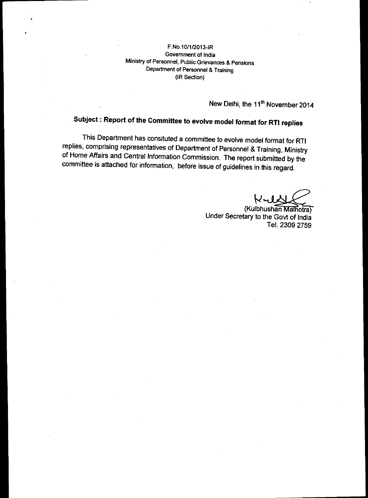## F.No.10/1/2013-IR Government of India Ministry of Personnel, Public Grievances & Pensions Department of Personnel & Training (IR Section)

New Delhi, the 11<sup>th</sup> November 2014

## **Subject : Report of the Committee to evolve model format for RTI replies**

This Department has consituted a committee to evolve model format for RTI replies, comprising representatives of Department of Personnel & Training, Ministry of Home Affairs and Central Information Commission. The report submitted by the committee is attached for information, before issue of guidelines in this regard.

(Kulbhushan Malhotra) Under Secretary to the Govt of India Tel. 2309 2759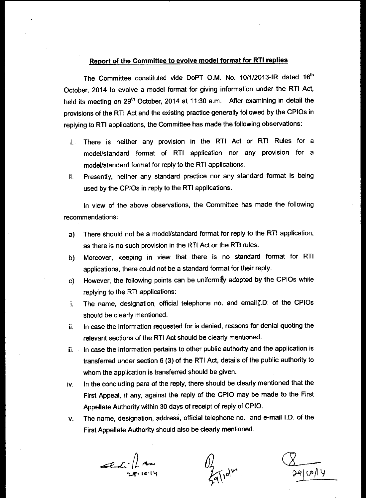## **Report of the Committee to evolve model format for RTI replies**

The Committee constituted vide DoPT O.M. No. 10/1/2013-IR dated 16<sup>th</sup> October, 2014 to evolve a model format for giving information under the RTI Act, held its meeting on 29<sup>th</sup> October, 2014 at 11:30 a.m. After examining in detail the provisions of the RTI Act and the existing practice generally followed by the CPIOs in replying to RTI applications, the Committee has made the following observations:

- I. There is neither any provision in the RTI Act or RTI Rules for a model/standard format of RTI application nor any provision for a model/standard format for reply to the RTI applications.
- II. Presently, neither any standard practice nor any standard format is being used by the CPIOs in reply to the RTI applications.

In view of the above observations, the Committee has made the following recommendations:

- a) There should not be a model/standard format for reply to the RTI application, as there is no such provision in the RTI Act or the RTI rules.
- b) Moreover, keeping in view that there is no standard format for RTI applications, there could not be a standard format for their reply.
- c) However, the following points can be uniformity adopted by the CPIOs while replying to the RTI applications:
- i. The name, designation, official telephone no. and email [.D. of the CPIOs should be clearly mentioned.
- ii. In case the information requested for is denied, reasons for denial quoting the relevant sections of the RTI Act should be clearly mentioned.
- iii. In case the information pertains to other public authority and the application is transferred under section 6 (3) of the RTI Act, details of the public authority to whom the application is transferred should be given.
- iv. In the concluding para of the reply, there should be clearly mentioned that the First Appeal, if any, against the reply of the CPIO may be made to the First Appellate Authority within 30 days of receipt of reply of CPIO.
- v. The name, designation, address, official telephone no. and e-mail I.D. of the First Appellate Authority should also be clearly mentioned.

*ceOre—C.* **in'**